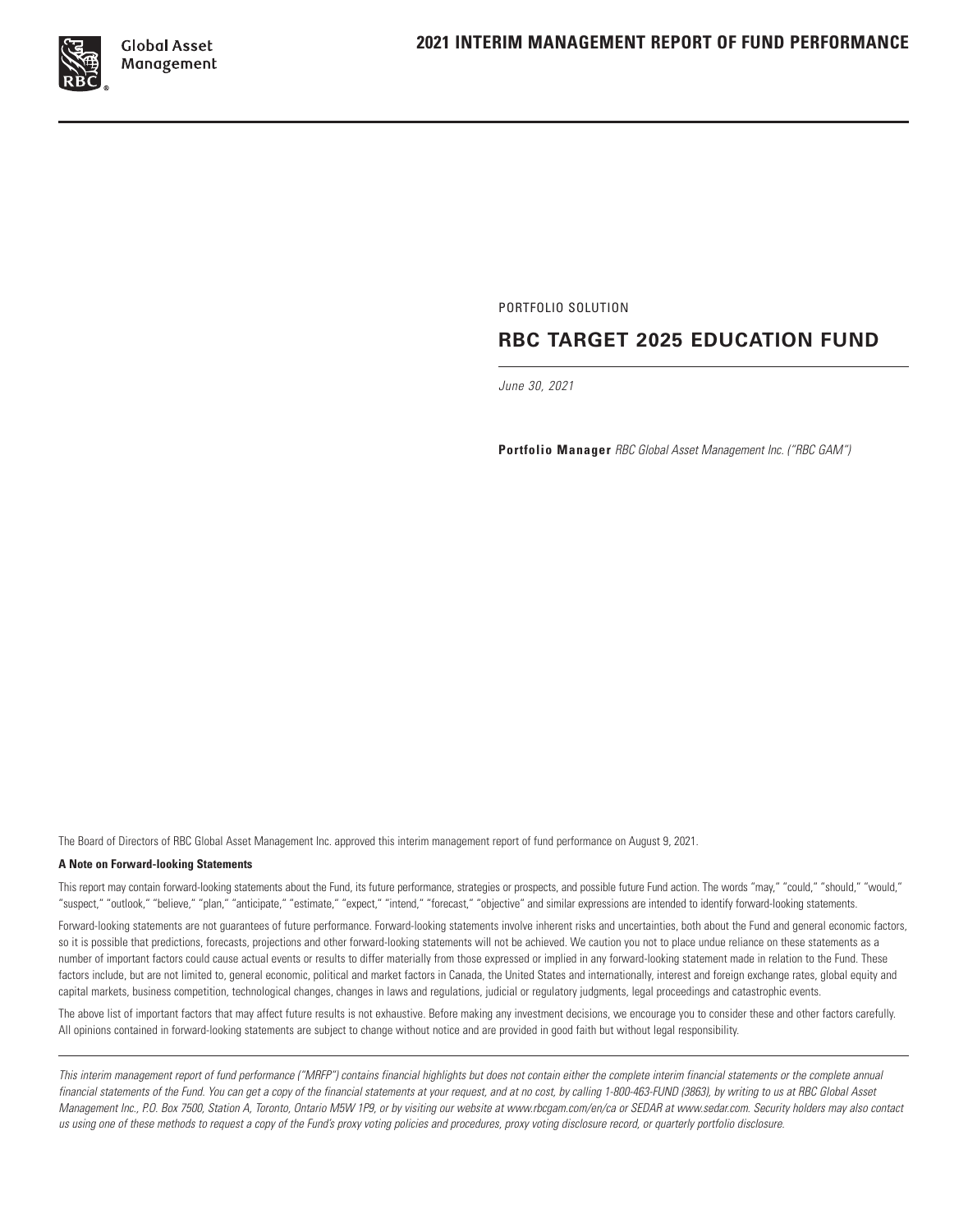

PORTFOLIO SOLUTION

# **RBC TARGET 2025 EDUCATION FUND**

*June 30, 2021*

**Portfolio Manager** *RBC Global Asset Management Inc. ("RBC GAM")*

The Board of Directors of RBC Global Asset Management Inc. approved this interim management report of fund performance on August 9, 2021.

#### **A Note on Forward‑looking Statements**

This report may contain forward‑looking statements about the Fund, its future performance, strategies or prospects, and possible future Fund action. The words "may," "could," "should," "would," "suspect," "outlook," "believe," "plan," "anticipate," "estimate," "expect," "intend," "forecast," "objective" and similar expressions are intended to identify forward‑looking statements.

Forward-looking statements are not guarantees of future performance. Forward-looking statements involve inherent risks and uncertainties, both about the Fund and general economic factors, so it is possible that predictions, forecasts, projections and other forward-looking statements will not be achieved. We caution you not to place undue reliance on these statements as a number of important factors could cause actual events or results to differ materially from those expressed or implied in any forward‑looking statement made in relation to the Fund. These factors include, but are not limited to, general economic, political and market factors in Canada, the United States and internationally, interest and foreign exchange rates, global equity and capital markets, business competition, technological changes, changes in laws and regulations, judicial or regulatory judgments, legal proceedings and catastrophic events.

The above list of important factors that may affect future results is not exhaustive. Before making any investment decisions, we encourage you to consider these and other factors carefully. All opinions contained in forward‑looking statements are subject to change without notice and are provided in good faith but without legal responsibility.

*This interim management report of fund performance ("MRFP") contains financial highlights but does not contain either the complete interim financial statements or the complete annual financial statements of the Fund. You can get a copy of the financial statements at your request, and at no cost, by calling 1‑800‑463‑FUND (3863), by writing to us at RBC Global Asset Management Inc., P.O. Box 7500, Station A, Toronto, Ontario M5W 1P9, or by visiting our website at www.rbcgam.com/en/ca or SEDAR at www.sedar.com. Security holders may also contact us using one of these methods to request a copy of the Fund's proxy voting policies and procedures, proxy voting disclosure record, or quarterly portfolio disclosure.*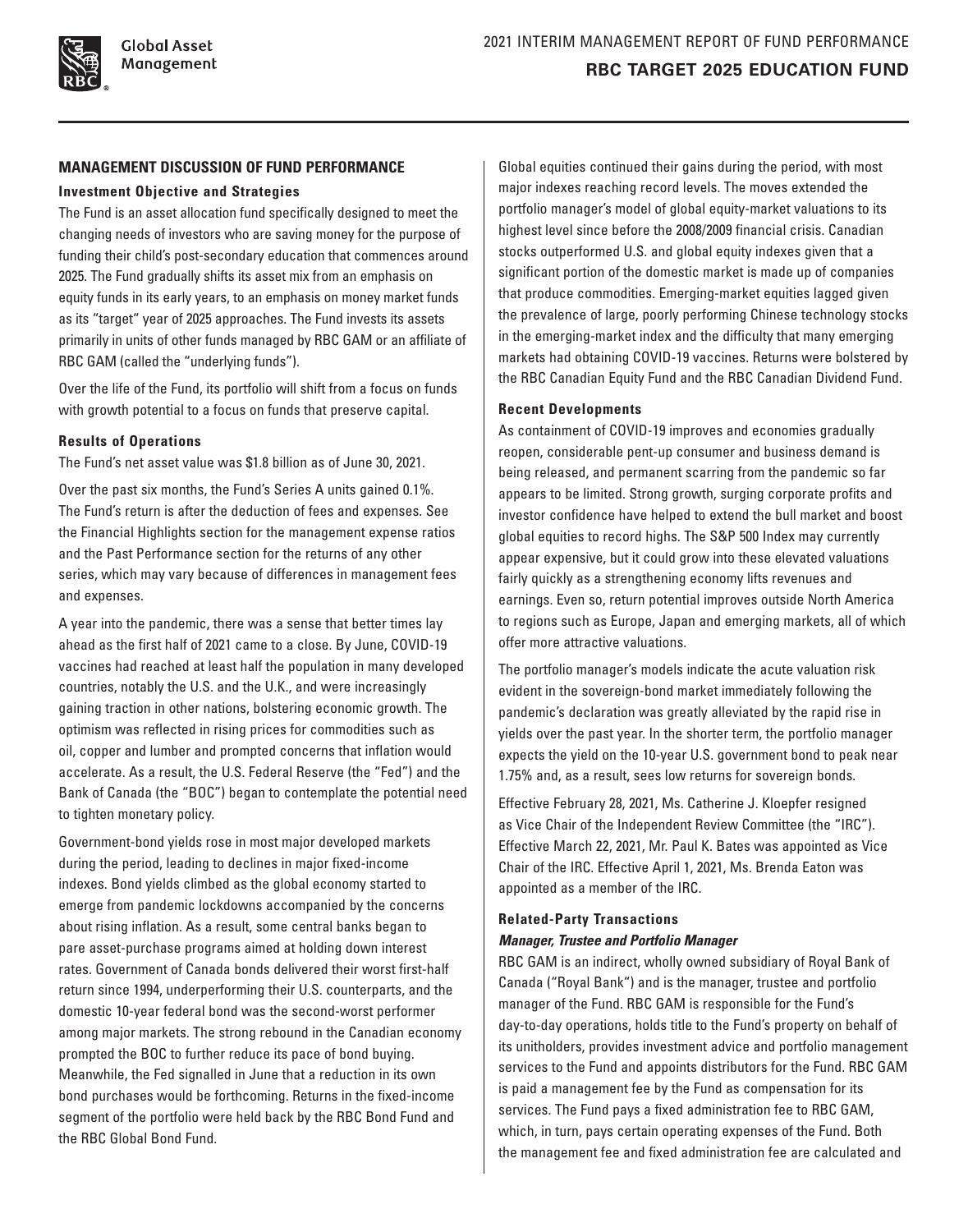### **MANAGEMENT DISCUSSION OF FUND PERFORMANCE**

#### **Investment Objective and Strategies**

The Fund is an asset allocation fund specifically designed to meet the changing needs of investors who are saving money for the purpose of funding their child's post-secondary education that commences around 2025. The Fund gradually shifts its asset mix from an emphasis on equity funds in its early years, to an emphasis on money market funds as its "target" year of 2025 approaches. The Fund invests its assets primarily in units of other funds managed by RBC GAM or an affiliate of RBC GAM (called the "underlying funds").

Over the life of the Fund, its portfolio will shift from a focus on funds with growth potential to a focus on funds that preserve capital.

#### **Results of Operations**

The Fund's net asset value was \$1.8 billion as of June 30, 2021.

Over the past six months, the Fund's Series A units gained 0.1%. The Fund's return is after the deduction of fees and expenses. See the Financial Highlights section for the management expense ratios and the Past Performance section for the returns of any other series, which may vary because of differences in management fees and expenses.

A year into the pandemic, there was a sense that better times lay ahead as the first half of 2021 came to a close. By June, COVID-19 vaccines had reached at least half the population in many developed countries, notably the U.S. and the U.K., and were increasingly gaining traction in other nations, bolstering economic growth. The optimism was reflected in rising prices for commodities such as oil, copper and lumber and prompted concerns that inflation would accelerate. As a result, the U.S. Federal Reserve (the "Fed") and the Bank of Canada (the "BOC") began to contemplate the potential need to tighten monetary policy.

Government-bond yields rose in most major developed markets during the period, leading to declines in major fixed-income indexes. Bond yields climbed as the global economy started to emerge from pandemic lockdowns accompanied by the concerns about rising inflation. As a result, some central banks began to pare asset-purchase programs aimed at holding down interest rates. Government of Canada bonds delivered their worst first-half return since 1994, underperforming their U.S. counterparts, and the domestic 10-year federal bond was the second-worst performer among major markets. The strong rebound in the Canadian economy prompted the BOC to further reduce its pace of bond buying. Meanwhile, the Fed signalled in June that a reduction in its own bond purchases would be forthcoming. Returns in the fixed-income segment of the portfolio were held back by the RBC Bond Fund and the RBC Global Bond Fund.

Global equities continued their gains during the period, with most major indexes reaching record levels. The moves extended the portfolio manager's model of global equity-market valuations to its highest level since before the 2008/2009 financial crisis. Canadian stocks outperformed U.S. and global equity indexes given that a significant portion of the domestic market is made up of companies that produce commodities. Emerging-market equities lagged given the prevalence of large, poorly performing Chinese technology stocks in the emerging-market index and the difficulty that many emerging markets had obtaining COVID-19 vaccines. Returns were bolstered by the RBC Canadian Equity Fund and the RBC Canadian Dividend Fund.

#### **Recent Developments**

As containment of COVID-19 improves and economies gradually reopen, considerable pent-up consumer and business demand is being released, and permanent scarring from the pandemic so far appears to be limited. Strong growth, surging corporate profits and investor confidence have helped to extend the bull market and boost global equities to record highs. The S&P 500 Index may currently appear expensive, but it could grow into these elevated valuations fairly quickly as a strengthening economy lifts revenues and earnings. Even so, return potential improves outside North America to regions such as Europe, Japan and emerging markets, all of which offer more attractive valuations.

The portfolio manager's models indicate the acute valuation risk evident in the sovereign-bond market immediately following the pandemic's declaration was greatly alleviated by the rapid rise in yields over the past year. In the shorter term, the portfolio manager expects the yield on the 10-year U.S. government bond to peak near 1.75% and, as a result, sees low returns for sovereign bonds.

Effective February 28, 2021, Ms. Catherine J. Kloepfer resigned as Vice Chair of the Independent Review Committee (the "IRC"). Effective March 22, 2021, Mr. Paul K. Bates was appointed as Vice Chair of the IRC. Effective April 1, 2021, Ms. Brenda Eaton was appointed as a member of the IRC.

### **Related‑Party Transactions** *Manager, Trustee and Portfolio Manager*

RBC GAM is an indirect, wholly owned subsidiary of Royal Bank of Canada ("Royal Bank") and is the manager, trustee and portfolio manager of the Fund. RBC GAM is responsible for the Fund's day‑to‑day operations, holds title to the Fund's property on behalf of its unitholders, provides investment advice and portfolio management services to the Fund and appoints distributors for the Fund. RBC GAM is paid a management fee by the Fund as compensation for its services. The Fund pays a fixed administration fee to RBC GAM, which, in turn, pays certain operating expenses of the Fund. Both the management fee and fixed administration fee are calculated and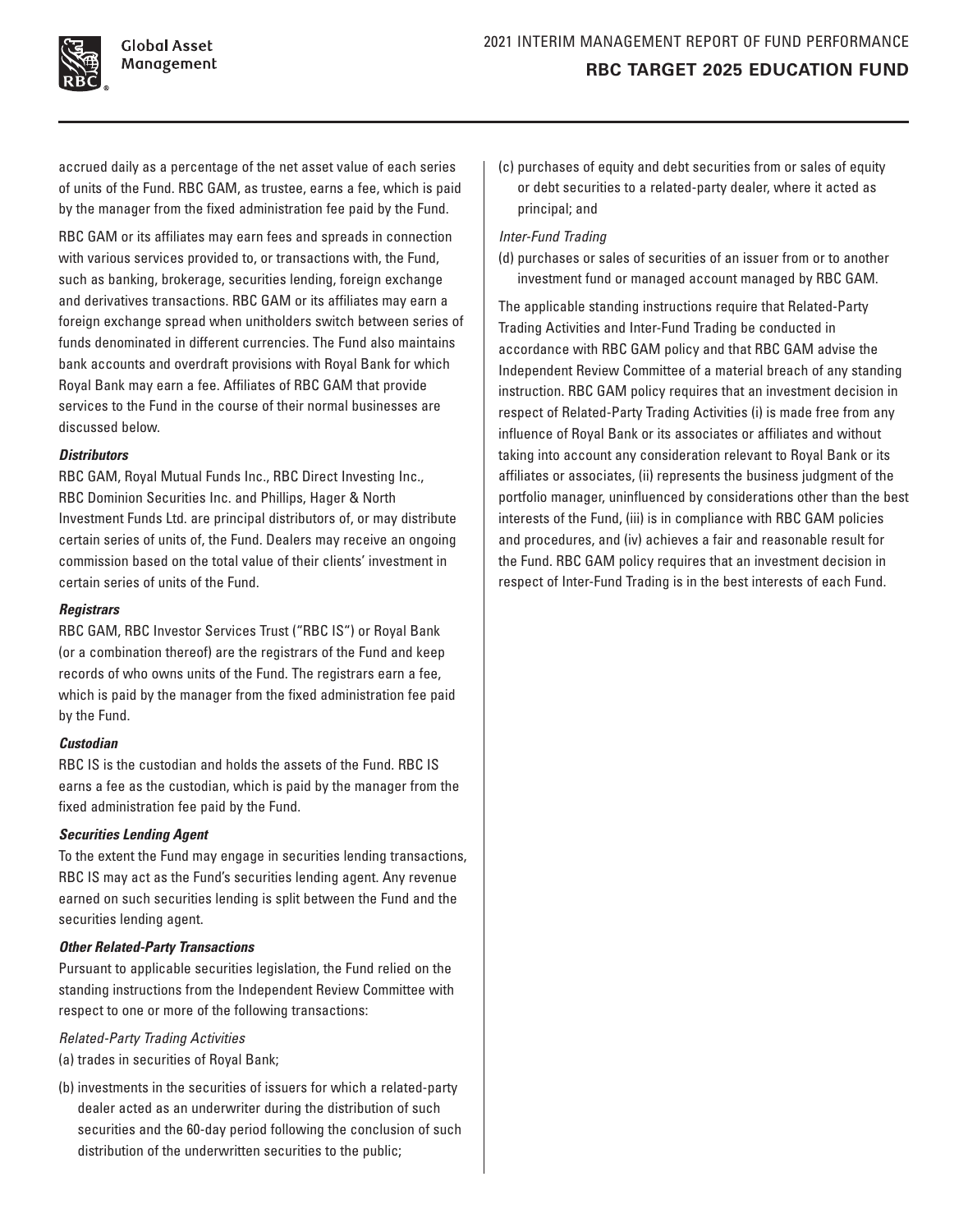

accrued daily as a percentage of the net asset value of each series of units of the Fund. RBC GAM, as trustee, earns a fee, which is paid by the manager from the fixed administration fee paid by the Fund.

RBC GAM or its affiliates may earn fees and spreads in connection with various services provided to, or transactions with, the Fund, such as banking, brokerage, securities lending, foreign exchange and derivatives transactions. RBC GAM or its affiliates may earn a foreign exchange spread when unitholders switch between series of funds denominated in different currencies. The Fund also maintains bank accounts and overdraft provisions with Royal Bank for which Royal Bank may earn a fee. Affiliates of RBC GAM that provide services to the Fund in the course of their normal businesses are discussed below.

#### *Distributors*

RBC GAM, Royal Mutual Funds Inc., RBC Direct Investing Inc., RBC Dominion Securities Inc. and Phillips, Hager & North Investment Funds Ltd. are principal distributors of, or may distribute certain series of units of, the Fund. Dealers may receive an ongoing commission based on the total value of their clients' investment in certain series of units of the Fund.

### *Registrars*

RBC GAM, RBC Investor Services Trust ("RBC IS") or Royal Bank (or a combination thereof) are the registrars of the Fund and keep records of who owns units of the Fund. The registrars earn a fee, which is paid by the manager from the fixed administration fee paid by the Fund.

### *Custodian*

RBC IS is the custodian and holds the assets of the Fund. RBC IS earns a fee as the custodian, which is paid by the manager from the fixed administration fee paid by the Fund.

### *Securities Lending Agent*

To the extent the Fund may engage in securities lending transactions, RBC IS may act as the Fund's securities lending agent. Any revenue earned on such securities lending is split between the Fund and the securities lending agent.

### *Other Related‑Party Transactions*

Pursuant to applicable securities legislation, the Fund relied on the standing instructions from the Independent Review Committee with respect to one or more of the following transactions:

### *Related‑Party Trading Activities*

(a) trades in securities of Royal Bank;

(b) investments in the securities of issuers for which a related‑party dealer acted as an underwriter during the distribution of such securities and the 60-day period following the conclusion of such distribution of the underwritten securities to the public;

(c) purchases of equity and debt securities from or sales of equity or debt securities to a related‑party dealer, where it acted as principal; and

## *Inter‑Fund Trading*

(d) purchases or sales of securities of an issuer from or to another investment fund or managed account managed by RBC GAM.

The applicable standing instructions require that Related‑Party Trading Activities and Inter‑Fund Trading be conducted in accordance with RBC GAM policy and that RBC GAM advise the Independent Review Committee of a material breach of any standing instruction. RBC GAM policy requires that an investment decision in respect of Related-Party Trading Activities (i) is made free from any influence of Royal Bank or its associates or affiliates and without taking into account any consideration relevant to Royal Bank or its affiliates or associates, (ii) represents the business judgment of the portfolio manager, uninfluenced by considerations other than the best interests of the Fund, (iii) is in compliance with RBC GAM policies and procedures, and (iv) achieves a fair and reasonable result for the Fund. RBC GAM policy requires that an investment decision in respect of Inter-Fund Trading is in the best interests of each Fund.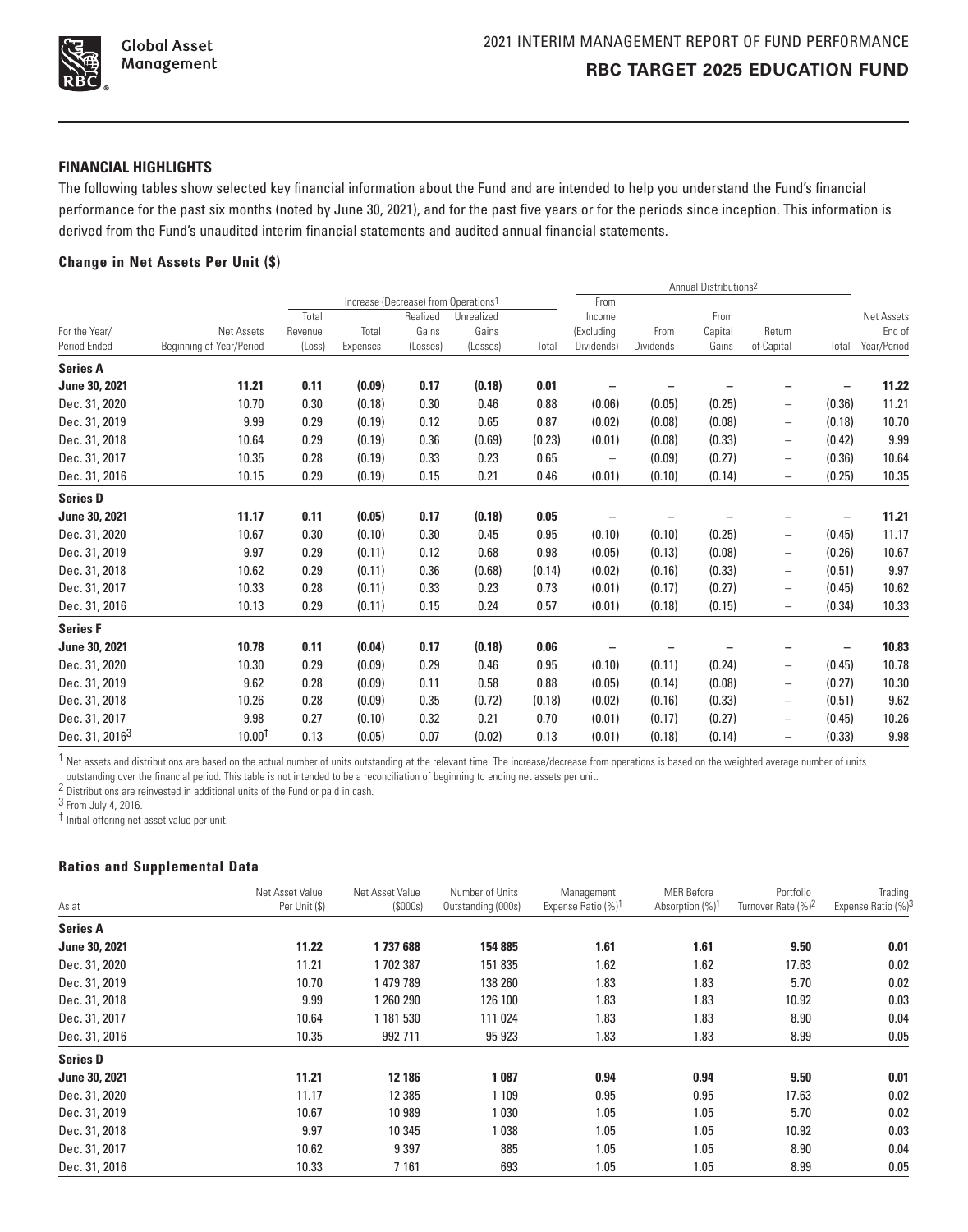

### **FINANCIAL HIGHLIGHTS**

The following tables show selected key financial information about the Fund and are intended to help you understand the Fund's financial performance for the past six months (noted by June 30, 2021), and for the past five years or for the periods since inception. This information is derived from the Fund's unaudited interim financial statements and audited annual financial statements.

#### **Change in Net Assets Per Unit (\$)**

|                            |                          |         |          |                                                  |            | Annual Distributions <sup>2</sup> |                          |           |         |                          |        |             |
|----------------------------|--------------------------|---------|----------|--------------------------------------------------|------------|-----------------------------------|--------------------------|-----------|---------|--------------------------|--------|-------------|
|                            |                          |         |          | Increase (Decrease) from Operations <sup>1</sup> |            |                                   | From                     |           |         |                          |        |             |
|                            |                          | Total   |          | Realized                                         | Unrealized |                                   | Income                   |           | From    |                          |        | Net Assets  |
| For the Year/              | Net Assets               | Revenue | Total    | Gains                                            | Gains      |                                   | (Excluding               | From      | Capital | Return                   |        | End of      |
| Period Ended               | Beginning of Year/Period | (Loss)  | Expenses | (Losses)                                         | (Losses)   | Total                             | Dividends)               | Dividends | Gains   | of Capital               | Total  | Year/Period |
| <b>Series A</b>            |                          |         |          |                                                  |            |                                   |                          |           |         |                          |        |             |
| June 30, 2021              | 11.21                    | 0.11    | (0.09)   | 0.17                                             | (0.18)     | 0.01                              |                          |           |         |                          |        | 11.22       |
| Dec. 31, 2020              | 10.70                    | 0.30    | (0.18)   | 0.30                                             | 0.46       | 0.88                              | (0.06)                   | (0.05)    | (0.25)  | -                        | (0.36) | 11.21       |
| Dec. 31, 2019              | 9.99                     | 0.29    | (0.19)   | 0.12                                             | 0.65       | 0.87                              | (0.02)                   | (0.08)    | (0.08)  | $\overline{\phantom{0}}$ | (0.18) | 10.70       |
| Dec. 31, 2018              | 10.64                    | 0.29    | (0.19)   | 0.36                                             | (0.69)     | (0.23)                            | (0.01)                   | (0.08)    | (0.33)  | $\overline{\phantom{0}}$ | (0.42) | 9.99        |
| Dec. 31, 2017              | 10.35                    | 0.28    | (0.19)   | 0.33                                             | 0.23       | 0.65                              | $\overline{\phantom{m}}$ | (0.09)    | (0.27)  | $\overline{\phantom{0}}$ | (0.36) | 10.64       |
| Dec. 31, 2016              | 10.15                    | 0.29    | (0.19)   | 0.15                                             | 0.21       | 0.46                              | (0.01)                   | (0.10)    | (0.14)  | -                        | (0.25) | 10.35       |
| <b>Series D</b>            |                          |         |          |                                                  |            |                                   |                          |           |         |                          |        |             |
| June 30, 2021              | 11.17                    | 0.11    | (0.05)   | 0.17                                             | (0.18)     | 0.05                              |                          |           |         |                          |        | 11.21       |
| Dec. 31, 2020              | 10.67                    | 0.30    | (0.10)   | 0.30                                             | 0.45       | 0.95                              | (0.10)                   | (0.10)    | (0.25)  | $\qquad \qquad -$        | (0.45) | 11.17       |
| Dec. 31, 2019              | 9.97                     | 0.29    | (0.11)   | 0.12                                             | 0.68       | 0.98                              | (0.05)                   | (0.13)    | (0.08)  | -                        | (0.26) | 10.67       |
| Dec. 31, 2018              | 10.62                    | 0.29    | (0.11)   | 0.36                                             | (0.68)     | (0.14)                            | (0.02)                   | (0.16)    | (0.33)  | $\overline{\phantom{0}}$ | (0.51) | 9.97        |
| Dec. 31, 2017              | 10.33                    | 0.28    | (0.11)   | 0.33                                             | 0.23       | 0.73                              | (0.01)                   | (0.17)    | (0.27)  | $\overline{\phantom{0}}$ | (0.45) | 10.62       |
| Dec. 31, 2016              | 10.13                    | 0.29    | (0.11)   | 0.15                                             | 0.24       | 0.57                              | (0.01)                   | (0.18)    | (0.15)  | $\overline{\phantom{m}}$ | (0.34) | 10.33       |
| <b>Series F</b>            |                          |         |          |                                                  |            |                                   |                          |           |         |                          |        |             |
| June 30, 2021              | 10.78                    | 0.11    | (0.04)   | 0.17                                             | (0.18)     | 0.06                              |                          |           |         |                          |        | 10.83       |
| Dec. 31, 2020              | 10.30                    | 0.29    | (0.09)   | 0.29                                             | 0.46       | 0.95                              | (0.10)                   | (0.11)    | (0.24)  | $\overline{\phantom{0}}$ | (0.45) | 10.78       |
| Dec. 31, 2019              | 9.62                     | 0.28    | (0.09)   | 0.11                                             | 0.58       | 0.88                              | (0.05)                   | (0.14)    | (0.08)  | $\overline{\phantom{0}}$ | (0.27) | 10.30       |
| Dec. 31, 2018              | 10.26                    | 0.28    | (0.09)   | 0.35                                             | (0.72)     | (0.18)                            | (0.02)                   | (0.16)    | (0.33)  | $\qquad \qquad -$        | (0.51) | 9.62        |
| Dec. 31, 2017              | 9.98                     | 0.27    | (0.10)   | 0.32                                             | 0.21       | 0.70                              | (0.01)                   | (0.17)    | (0.27)  | $\overline{\phantom{0}}$ | (0.45) | 10.26       |
| Dec. 31, 2016 <sup>3</sup> | 10.00 <sup>†</sup>       | 0.13    | (0.05)   | 0.07                                             | (0.02)     | 0.13                              | (0.01)                   | (0.18)    | (0.14)  | $\overline{\phantom{0}}$ | (0.33) | 9.98        |

 $1$  Net assets and distributions are based on the actual number of units outstanding at the relevant time. The increase/decrease from operations is based on the weighted average number of units

outstanding over the financial period. This table is not intended to be a reconciliation of beginning to ending net assets per unit.

2 Distributions are reinvested in additional units of the Fund or paid in cash.

3 From July 4, 2016.

† Initial offering net asset value per unit.

# **Ratios and Supplemental Data**

| As at           | Net Asset Value<br>Per Unit (\$) | Net Asset Value<br>(S000s) | Number of Units<br>Outstanding (000s) | Management<br>Expense Ratio (%) <sup>1</sup> | <b>MER Before</b><br>Absorption (%) <sup>1</sup> | Portfolio<br>Turnover Rate (%) <sup>2</sup> | Trading<br>Expense Ratio (%) <sup>3</sup> |
|-----------------|----------------------------------|----------------------------|---------------------------------------|----------------------------------------------|--------------------------------------------------|---------------------------------------------|-------------------------------------------|
| <b>Series A</b> |                                  |                            |                                       |                                              |                                                  |                                             |                                           |
| June 30, 2021   | 11.22                            | 1737688                    | 154 885                               | 1.61                                         | 1.61                                             | 9.50                                        | 0.01                                      |
| Dec. 31, 2020   | 11.21                            | 1702387                    | 151 835                               | 1.62                                         | 1.62                                             | 17.63                                       | 0.02                                      |
| Dec. 31, 2019   | 10.70                            | 1479789                    | 138 260                               | 1.83                                         | 1.83                                             | 5.70                                        | 0.02                                      |
| Dec. 31, 2018   | 9.99                             | 1 260 290                  | 126 100                               | 1.83                                         | 1.83                                             | 10.92                                       | 0.03                                      |
| Dec. 31, 2017   | 10.64                            | 1 181 530                  | 111 024                               | 1.83                                         | 1.83                                             | 8.90                                        | 0.04                                      |
| Dec. 31, 2016   | 10.35                            | 992 711                    | 95 923                                | 1.83                                         | 1.83                                             | 8.99                                        | 0.05                                      |
| <b>Series D</b> |                                  |                            |                                       |                                              |                                                  |                                             |                                           |
| June 30, 2021   | 11.21                            | 12 18 6                    | 1087                                  | 0.94                                         | 0.94                                             | 9.50                                        | 0.01                                      |
| Dec. 31, 2020   | 11.17                            | 12 3 8 5                   | 1 1 0 9                               | 0.95                                         | 0.95                                             | 17.63                                       | 0.02                                      |
| Dec. 31, 2019   | 10.67                            | 10 989                     | 1030                                  | 1.05                                         | 1.05                                             | 5.70                                        | 0.02                                      |
| Dec. 31, 2018   | 9.97                             | 10 345                     | 1038                                  | 1.05                                         | 1.05                                             | 10.92                                       | 0.03                                      |
| Dec. 31, 2017   | 10.62                            | 9 3 9 7                    | 885                                   | 1.05                                         | 1.05                                             | 8.90                                        | 0.04                                      |
| Dec. 31, 2016   | 10.33                            | 7 1 6 1                    | 693                                   | 1.05                                         | 1.05                                             | 8.99                                        | 0.05                                      |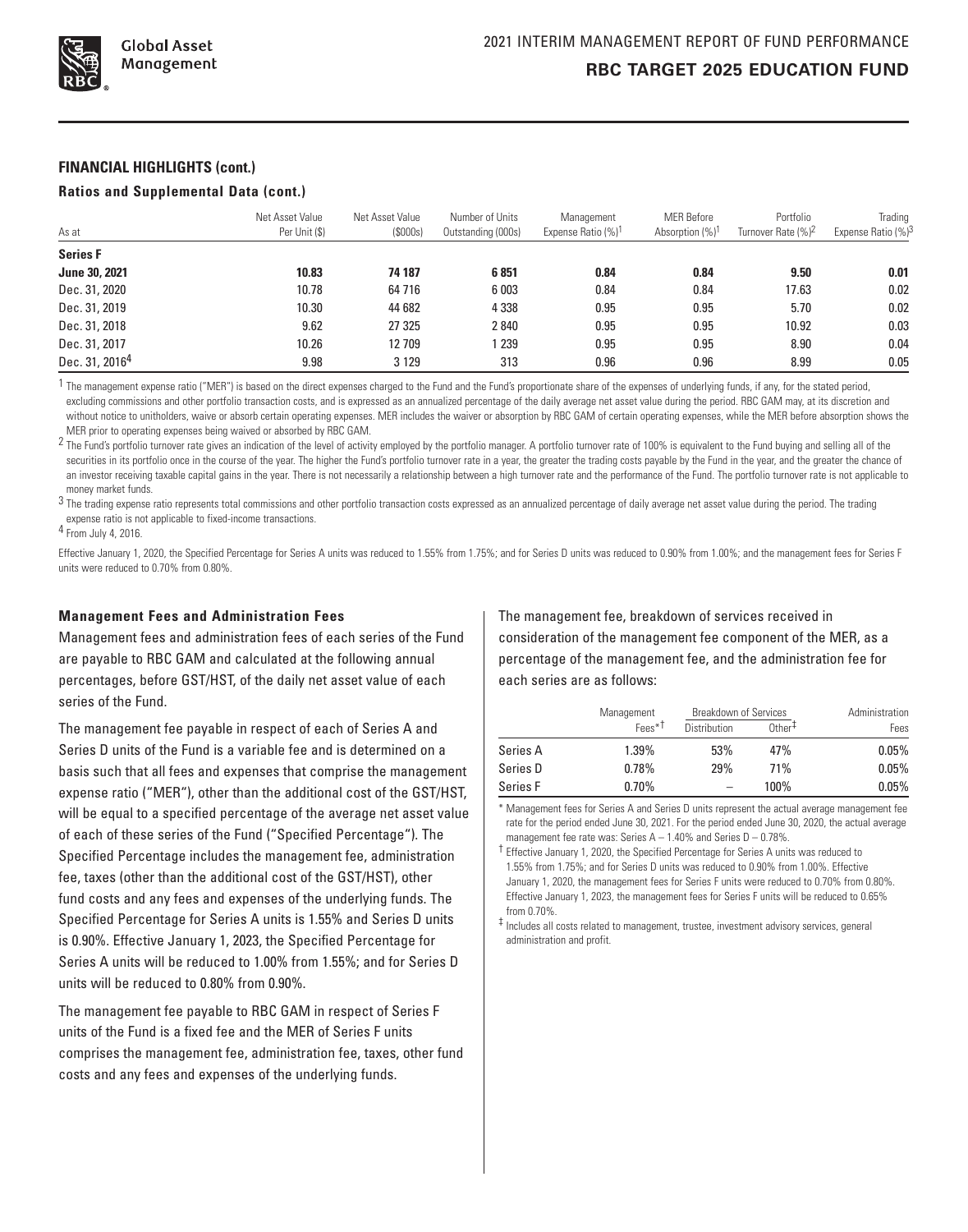

#### **FINANCIAL HIGHLIGHTS (cont.)**

#### **Ratios and Supplemental Data (cont.)**

| As at                      | Net Asset Value<br>Per Unit (\$) | Net Asset Value<br>(S000s) | Number of Units<br>Outstanding (000s) | Management<br>Expense Ratio (%) <sup>1</sup> | <b>MER Before</b><br>Absorption (%) <sup>1</sup> | Portfolio<br>Turnover Rate (%) <sup>2</sup> | Trading<br>Expense Ratio (%) <sup>3</sup> |
|----------------------------|----------------------------------|----------------------------|---------------------------------------|----------------------------------------------|--------------------------------------------------|---------------------------------------------|-------------------------------------------|
| <b>Series F</b>            |                                  |                            |                                       |                                              |                                                  |                                             |                                           |
| <b>June 30, 2021</b>       | 10.83                            | 74 187                     | 6851                                  | 0.84                                         | 0.84                                             | 9.50                                        | 0.01                                      |
| Dec. 31, 2020              | 10.78                            | 64 7 16                    | 6 0 0 3                               | 0.84                                         | 0.84                                             | 17.63                                       | 0.02                                      |
| Dec. 31, 2019              | 10.30                            | 44 682                     | 4 3 3 8                               | 0.95                                         | 0.95                                             | 5.70                                        | 0.02                                      |
| Dec. 31, 2018              | 9.62                             | 27 325                     | 2840                                  | 0.95                                         | 0.95                                             | 10.92                                       | 0.03                                      |
| Dec. 31, 2017              | 10.26                            | 12709                      | 239                                   | 0.95                                         | 0.95                                             | 8.90                                        | 0.04                                      |
| Dec. 31, 2016 <sup>4</sup> | 9.98                             | 3 1 2 9                    | 313                                   | 0.96                                         | 0.96                                             | 8.99                                        | 0.05                                      |

<sup>1</sup> The management expense ratio ("MER") is based on the direct expenses charged to the Fund and the Fund's proportionate share of the expenses of underlying funds, if any, for the stated period, excluding commissions and other portfolio transaction costs, and is expressed as an annualized percentage of the daily average net asset value during the period. RBC GAM may, at its discretion and without notice to unitholders, waive or absorb certain operating expenses. MER includes the waiver or absorption by RBC GAM of certain operating expenses, while the MER before absorption shows the MER prior to operating expenses being waived or absorbed by RBC GAM.

<sup>2</sup> The Fund's portfolio turnover rate gives an indication of the level of activity employed by the portfolio manager. A portfolio turnover rate of 100% is equivalent to the Fund buying and selling all of the securities in its portfolio once in the course of the year. The higher the Fund's portfolio turnover rate in a year, the greater the trading costs payable by the Fund in the year, and the greater the chance of an investor receiving taxable capital gains in the year. There is not necessarily a relationship between a high turnover rate and the performance of the Fund. The portfolio turnover rate is not applicable to money market funds.

<sup>3</sup> The trading expense ratio represents total commissions and other portfolio transaction costs expressed as an annualized percentage of daily average net asset value during the period. The trading expense ratio is not applicable to fixed-income transactions.

4 From July 4, 2016.

Effective January 1, 2020, the Specified Percentage for Series A units was reduced to 1.55% from 1.75%; and for Series D units was reduced to 0.90% from 1.00%; and the management fees for Series F units were reduced to 0.70% from 0.80%.

#### **Management Fees and Administration Fees**

Management fees and administration fees of each series of the Fund are payable to RBC GAM and calculated at the following annual percentages, before GST/HST, of the daily net asset value of each series of the Fund.

The management fee payable in respect of each of Series A and Series D units of the Fund is a variable fee and is determined on a basis such that all fees and expenses that comprise the management expense ratio ("MER"), other than the additional cost of the GST/HST, will be equal to a specified percentage of the average net asset value of each of these series of the Fund ("Specified Percentage"). The Specified Percentage includes the management fee, administration fee, taxes (other than the additional cost of the GST/HST), other fund costs and any fees and expenses of the underlying funds. The Specified Percentage for Series A units is 1.55% and Series D units is 0.90%. Effective January 1, 2023, the Specified Percentage for Series A units will be reduced to 1.00% from 1.55%; and for Series D units will be reduced to 0.80% from 0.90%.

The management fee payable to RBC GAM in respect of Series F units of the Fund is a fixed fee and the MER of Series F units comprises the management fee, administration fee, taxes, other fund costs and any fees and expenses of the underlying funds.

The management fee, breakdown of services received in consideration of the management fee component of the MER, as a percentage of the management fee, and the administration fee for each series are as follows:

|          | Management         | <b>Breakdown of Services</b> | Administration        |       |
|----------|--------------------|------------------------------|-----------------------|-------|
|          | Fees <sup>*†</sup> | <b>Distribution</b>          | $0$ ther <sup>+</sup> | Fees  |
| Series A | 1.39%              | 53%                          | 47%                   | 0.05% |
| Series D | 0.78%              | 29%                          | 71%                   | 0.05% |
| Series F | 0.70%              |                              | 100%                  | 0.05% |

\* Management fees for Series A and Series D units represent the actual average management fee rate for the period ended June 30, 2021. For the period ended June 30, 2020, the actual average management fee rate was: Series  $A - 1.40\%$  and Series  $D - 0.78\%$ .

† Effective January 1, 2020, the Specified Percentage for Series A units was reduced to 1.55% from 1.75%; and for Series D units was reduced to 0.90% from 1.00%. Effective January 1, 2020, the management fees for Series F units were reduced to 0.70% from 0.80%. Effective January 1, 2023, the management fees for Series F units will be reduced to 0.65% from 0.70%.

‡ Includes all costs related to management, trustee, investment advisory services, general administration and profit.